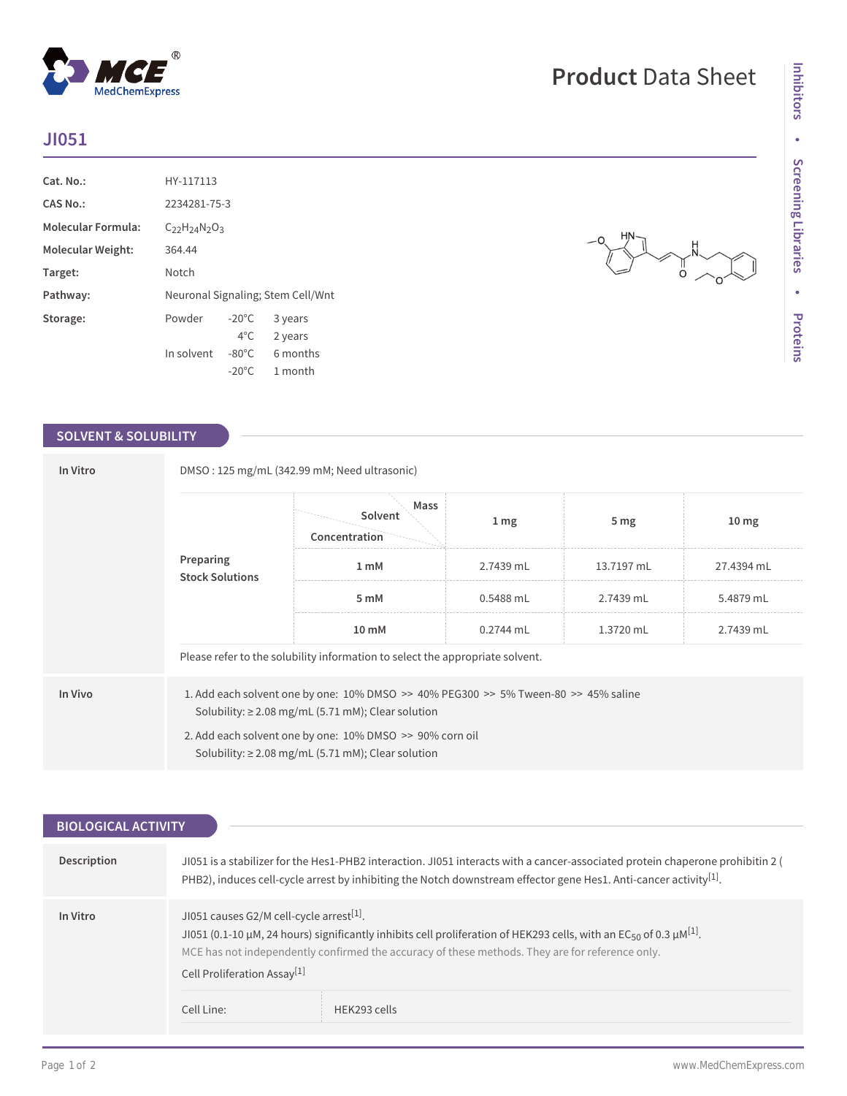## **JI051**

| Cat. No.:                 | HY-117113                         |                 |          |
|---------------------------|-----------------------------------|-----------------|----------|
| CAS No.:                  | 2234281-75-3                      |                 |          |
| <b>Molecular Formula:</b> | $C_{22}H_{24}N_{2}O_{3}$          |                 |          |
| <b>Molecular Weight:</b>  | 364.44                            |                 |          |
| Target:                   | Notch                             |                 |          |
| Pathway:                  | Neuronal Signaling; Stem Cell/Wnt |                 |          |
| Storage:                  | Powder                            | $-20^{\circ}$ C | 3 years  |
|                           |                                   | $4^{\circ}$ C   | 2 years  |
|                           | In solvent                        | $-80^{\circ}$ C | 6 months |
|                           |                                   | $-20^{\circ}$ C | 1 month  |

 $^{\circledR}$ 

MedChemExpress

### **SOLVENT & SOLUBILITY**

| In Vitro | DMSO: 125 mg/mL (342.99 mM; Need ultrasonic)                                                                                                                  |                                  |                 |                 |                  |  |  |
|----------|---------------------------------------------------------------------------------------------------------------------------------------------------------------|----------------------------------|-----------------|-----------------|------------------|--|--|
|          |                                                                                                                                                               | Mass<br>Solvent<br>Concentration | 1 <sub>mg</sub> | 5 <sub>mg</sub> | 10 <sub>mg</sub> |  |  |
|          | Preparing<br><b>Stock Solutions</b>                                                                                                                           | 1 mM                             | 2.7439 mL       | 13.7197 mL      | 27.4394 mL       |  |  |
|          |                                                                                                                                                               | 5 mM                             | $0.5488$ mL     | 2.7439 mL       | 5.4879 mL        |  |  |
|          |                                                                                                                                                               | 10 mM                            | $0.2744$ mL     | 1.3720 mL       | 2.7439 mL        |  |  |
|          | Please refer to the solubility information to select the appropriate solvent.                                                                                 |                                  |                 |                 |                  |  |  |
| In Vivo  | 1. Add each solvent one by one: $10\%$ DMSO $\geq$ 40% PEG300 $\geq$ 5% Tween-80 $\geq$ 45% saline<br>Solubility: $\geq$ 2.08 mg/mL (5.71 mM); Clear solution |                                  |                 |                 |                  |  |  |
|          | 2. Add each solvent one by one: 10% DMSO >> 90% corn oil<br>Solubility: $\geq$ 2.08 mg/mL (5.71 mM); Clear solution                                           |                                  |                 |                 |                  |  |  |

| <b>BIOLOGICAL ACTIVITY</b> |                                                                                                                                                                                                                                                                                                                                                            |  |
|----------------------------|------------------------------------------------------------------------------------------------------------------------------------------------------------------------------------------------------------------------------------------------------------------------------------------------------------------------------------------------------------|--|
|                            |                                                                                                                                                                                                                                                                                                                                                            |  |
| <b>Description</b>         | JI051 is a stabilizer for the Hes1-PHB2 interaction. JI051 interacts with a cancer-associated protein chaperone prohibitin 2 (<br>PHB2), induces cell-cycle arrest by inhibiting the Notch downstream effector gene Hes1. Anti-cancer activity <sup>[1]</sup> .                                                                                            |  |
| In Vitro                   | JI051 causes G2/M cell-cycle arrest <sup>[1]</sup> .<br>JI051 (0.1-10 $\mu$ M, 24 hours) significantly inhibits cell proliferation of HEK293 cells, with an EC <sub>50</sub> of 0.3 $\mu$ M <sup>[1]</sup> .<br>MCE has not independently confirmed the accuracy of these methods. They are for reference only.<br>Cell Proliferation Assay <sup>[1]</sup> |  |
|                            | Cell Line:<br>HEK293 cells                                                                                                                                                                                                                                                                                                                                 |  |

# **Product** Data Sheet

။<br>O

Ó